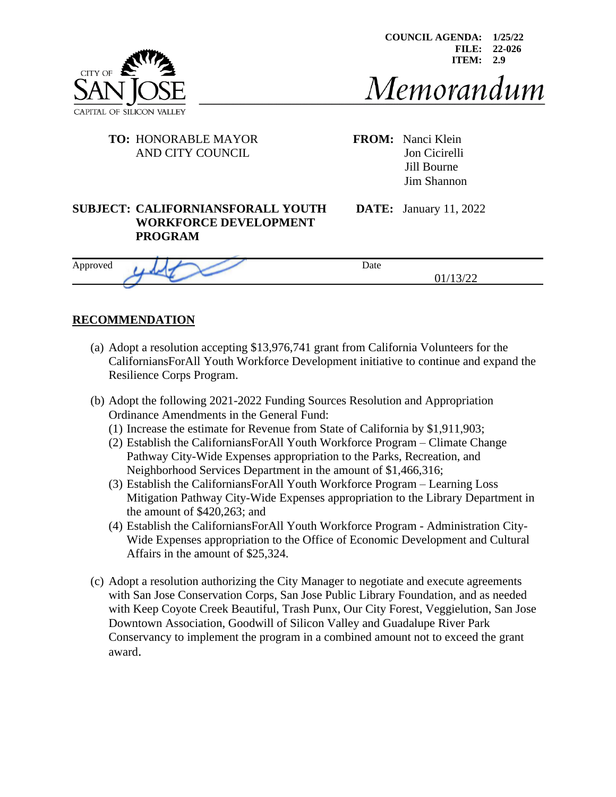

# Memorandum

#### **TO:** HONORABLE MAYOR **FROM:** Nanci Klein AND CITY COUNCIL Jon Cicirelli

 Jill Bourne Jim Shannon

#### **SUBJECT: CALIFORNIANSFORALL YOUTH DATE:** January 11, 2022 **WORKFORCE DEVELOPMENT PROGRAM**

| Approved | Date |
|----------|------|
|          |      |

# **RECOMMENDATION**

- (a) Adopt a resolution accepting \$13,976,741 grant from California Volunteers for the CaliforniansForAll Youth Workforce Development initiative to continue and expand the Resilience Corps Program.
- (b) Adopt the following 2021-2022 Funding Sources Resolution and Appropriation Ordinance Amendments in the General Fund:
	- (1) Increase the estimate for Revenue from State of California by \$1,911,903;
	- (2) Establish the CaliforniansForAll Youth Workforce Program Climate Change Pathway City-Wide Expenses appropriation to the Parks, Recreation, and Neighborhood Services Department in the amount of \$1,466,316;
	- (3) Establish the CaliforniansForAll Youth Workforce Program Learning Loss Mitigation Pathway City-Wide Expenses appropriation to the Library Department in the amount of \$420,263; and
	- (4) Establish the CaliforniansForAll Youth Workforce Program Administration City-Wide Expenses appropriation to the Office of Economic Development and Cultural Affairs in the amount of \$25,324.
- (c) Adopt a resolution authorizing the City Manager to negotiate and execute agreements with San Jose Conservation Corps, San Jose Public Library Foundation, and as needed with Keep Coyote Creek Beautiful, Trash Punx, Our City Forest, Veggielution, San Jose Downtown Association, Goodwill of Silicon Valley and Guadalupe River Park Conservancy to implement the program in a combined amount not to exceed the grant award.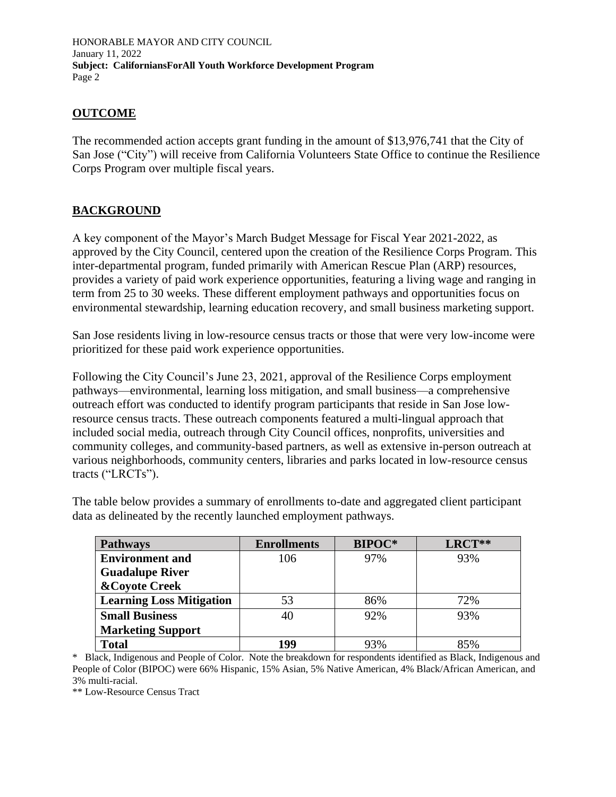## **OUTCOME**

The recommended action accepts grant funding in the amount of \$13,976,741 that the City of San Jose ("City") will receive from California Volunteers State Office to continue the Resilience Corps Program over multiple fiscal years.

# **BACKGROUND**

A key component of the Mayor's March Budget Message for Fiscal Year 2021-2022, as approved by the City Council, centered upon the creation of the Resilience Corps Program. This inter-departmental program, funded primarily with American Rescue Plan (ARP) resources, provides a variety of paid work experience opportunities, featuring a living wage and ranging in term from 25 to 30 weeks. These different employment pathways and opportunities focus on environmental stewardship, learning education recovery, and small business marketing support.

San Jose residents living in low-resource census tracts or those that were very low-income were prioritized for these paid work experience opportunities.

Following the City Council's June 23, 2021, approval of the Resilience Corps employment pathways—environmental, learning loss mitigation, and small business—a comprehensive outreach effort was conducted to identify program participants that reside in San Jose lowresource census tracts. These outreach components featured a multi-lingual approach that included social media, outreach through City Council offices, nonprofits, universities and community colleges, and community-based partners, as well as extensive in-person outreach at various neighborhoods, community centers, libraries and parks located in low-resource census tracts ("LRCTs").

The table below provides a summary of enrollments to-date and aggregated client participant data as delineated by the recently launched employment pathways.

| <b>Pathways</b>                 | <b>Enrollments</b> | <b>BIPOC*</b> | LRCT** |
|---------------------------------|--------------------|---------------|--------|
| <b>Environment and</b>          | 106                | 97%           | 93%    |
| <b>Guadalupe River</b>          |                    |               |        |
| <b>&amp;Coyote Creek</b>        |                    |               |        |
| <b>Learning Loss Mitigation</b> | 53                 | 86%           | 72%    |
| <b>Small Business</b>           | 40                 | 92%           | 93%    |
| <b>Marketing Support</b>        |                    |               |        |
| <b>Total</b>                    | 199                | 93%           | 85%    |

\* Black, Indigenous and People of Color. Note the breakdown for respondents identified as Black, Indigenous and People of Color (BIPOC) were 66% Hispanic, 15% Asian, 5% Native American, 4% Black/African American, and 3% multi-racial.

\*\* Low-Resource Census Tract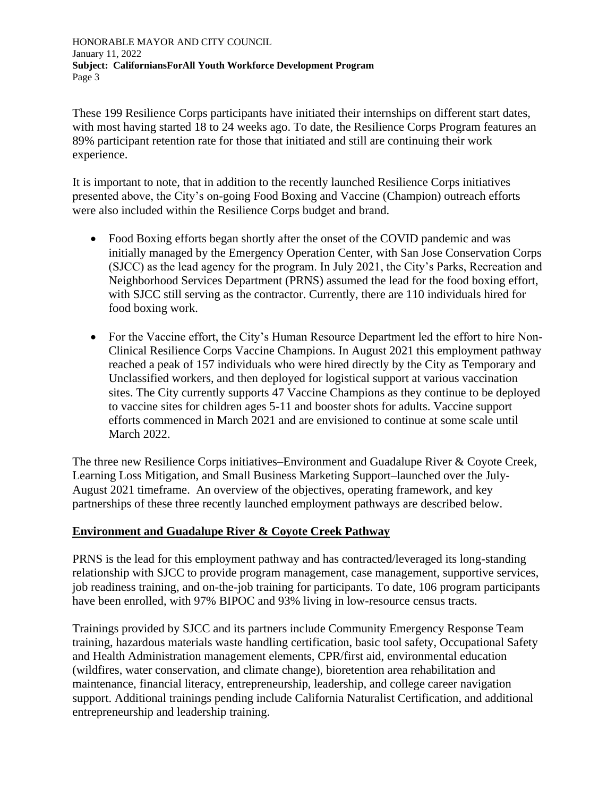These 199 Resilience Corps participants have initiated their internships on different start dates, with most having started 18 to 24 weeks ago. To date, the Resilience Corps Program features an 89% participant retention rate for those that initiated and still are continuing their work experience.

It is important to note, that in addition to the recently launched Resilience Corps initiatives presented above, the City's on-going Food Boxing and Vaccine (Champion) outreach efforts were also included within the Resilience Corps budget and brand.

- Food Boxing efforts began shortly after the onset of the COVID pandemic and was initially managed by the Emergency Operation Center, with San Jose Conservation Corps (SJCC) as the lead agency for the program. In July 2021, the City's Parks, Recreation and Neighborhood Services Department (PRNS) assumed the lead for the food boxing effort, with SJCC still serving as the contractor. Currently, there are 110 individuals hired for food boxing work.
- For the Vaccine effort, the City's Human Resource Department led the effort to hire Non-Clinical Resilience Corps Vaccine Champions. In August 2021 this employment pathway reached a peak of 157 individuals who were hired directly by the City as Temporary and Unclassified workers, and then deployed for logistical support at various vaccination sites. The City currently supports 47 Vaccine Champions as they continue to be deployed to vaccine sites for children ages 5-11 and booster shots for adults. Vaccine support efforts commenced in March 2021 and are envisioned to continue at some scale until March 2022.

The three new Resilience Corps initiatives–Environment and Guadalupe River & Coyote Creek, Learning Loss Mitigation, and Small Business Marketing Support–launched over the July-August 2021 timeframe. An overview of the objectives, operating framework, and key partnerships of these three recently launched employment pathways are described below.

## **Environment and Guadalupe River & Coyote Creek Pathway**

PRNS is the lead for this employment pathway and has contracted/leveraged its long-standing relationship with SJCC to provide program management, case management, supportive services, job readiness training, and on-the-job training for participants. To date, 106 program participants have been enrolled, with 97% BIPOC and 93% living in low-resource census tracts.

Trainings provided by SJCC and its partners include Community Emergency Response Team training, hazardous materials waste handling certification, basic tool safety, Occupational Safety and Health Administration management elements, CPR/first aid, environmental education (wildfires, water conservation, and climate change), bioretention area rehabilitation and maintenance, financial literacy, entrepreneurship, leadership, and college career navigation support. Additional trainings pending include California Naturalist Certification, and additional entrepreneurship and leadership training.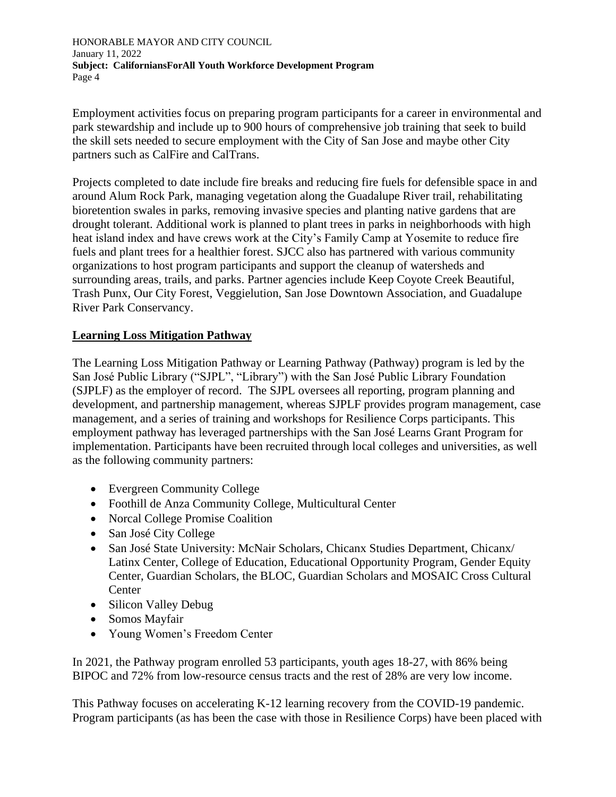Employment activities focus on preparing program participants for a career in environmental and park stewardship and include up to 900 hours of comprehensive job training that seek to build the skill sets needed to secure employment with the City of San Jose and maybe other City partners such as CalFire and CalTrans.

Projects completed to date include fire breaks and reducing fire fuels for defensible space in and around Alum Rock Park, managing vegetation along the Guadalupe River trail, rehabilitating bioretention swales in parks, removing invasive species and planting native gardens that are drought tolerant. Additional work is planned to plant trees in parks in neighborhoods with high heat island index and have crews work at the City's Family Camp at Yosemite to reduce fire fuels and plant trees for a healthier forest. SJCC also has partnered with various community organizations to host program participants and support the cleanup of watersheds and surrounding areas, trails, and parks. Partner agencies include Keep Coyote Creek Beautiful, Trash Punx, Our City Forest, Veggielution, San Jose Downtown Association, and Guadalupe River Park Conservancy.

## **Learning Loss Mitigation Pathway**

The Learning Loss Mitigation Pathway or Learning Pathway (Pathway) program is led by the San José Public Library ("SJPL", "Library") with the San José Public Library Foundation (SJPLF) as the employer of record. The SJPL oversees all reporting, program planning and development, and partnership management, whereas SJPLF provides program management, case management, and a series of training and workshops for Resilience Corps participants. This employment pathway has leveraged partnerships with the San José Learns Grant Program for implementation. Participants have been recruited through local colleges and universities, as well as the following community partners:

- Evergreen Community College
- Foothill de Anza Community College, Multicultural Center
- Norcal College Promise Coalition
- San José City College
- San José State University: McNair Scholars, Chicanx Studies Department, Chicanx/ Latinx Center, College of Education, Educational Opportunity Program, Gender Equity Center, Guardian Scholars, the BLOC, Guardian Scholars and MOSAIC Cross Cultural **Center**
- Silicon Valley Debug
- Somos Mayfair
- Young Women's Freedom Center

In 2021, the Pathway program enrolled 53 participants, youth ages 18-27, with 86% being BIPOC and 72% from low-resource census tracts and the rest of 28% are very low income.

This Pathway focuses on accelerating K-12 learning recovery from the COVID-19 pandemic. Program participants (as has been the case with those in Resilience Corps) have been placed with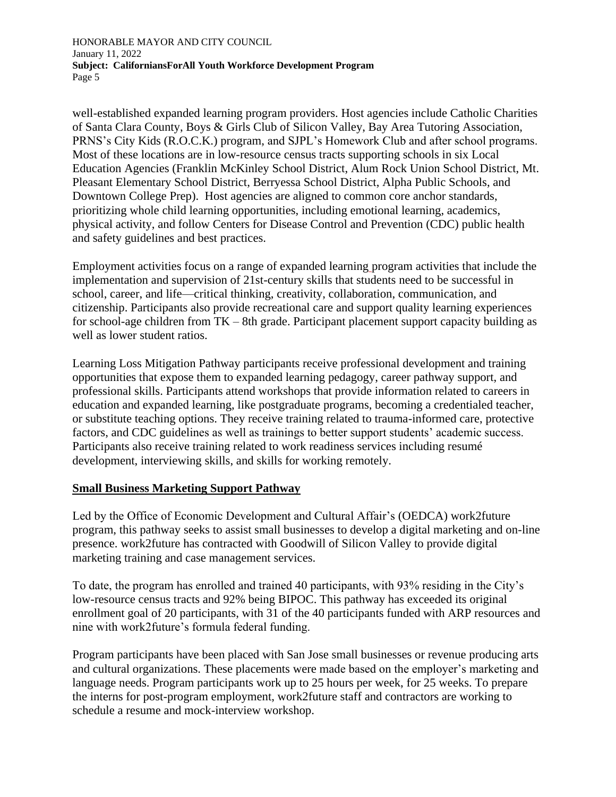well-established expanded learning program providers. Host agencies include Catholic Charities of Santa Clara County, Boys & Girls Club of Silicon Valley, Bay Area Tutoring Association, PRNS's City Kids (R.O.C.K.) program, and SJPL's Homework Club and after school programs. Most of these locations are in low-resource census tracts supporting schools in six Local Education Agencies (Franklin McKinley School District, Alum Rock Union School District, Mt. Pleasant Elementary School District, Berryessa School District, Alpha Public Schools, and Downtown College Prep). Host agencies are aligned to common core anchor standards, prioritizing whole child learning opportunities, including emotional learning, academics, physical activity, and follow Centers for Disease Control and Prevention (CDC) public health and safety guidelines and best practices.

Employment activities focus on a range of expanded learning program activities that include the implementation and supervision of 21st-century skills that students need to be successful in school, career, and life—critical thinking, creativity, collaboration, communication, and citizenship. Participants also provide recreational care and support quality learning experiences for school-age children from TK – 8th grade. Participant placement support capacity building as well as lower student ratios.

Learning Loss Mitigation Pathway participants receive professional development and training opportunities that expose them to expanded learning pedagogy, career pathway support, and professional skills. Participants attend workshops that provide information related to careers in education and expanded learning, like postgraduate programs, becoming a credentialed teacher, or substitute teaching options. They receive training related to trauma-informed care, protective factors, and CDC guidelines as well as trainings to better support students' academic success. Participants also receive training related to work readiness services including resumé development, interviewing skills, and skills for working remotely.

#### **Small Business Marketing Support Pathway**

Led by the Office of Economic Development and Cultural Affair's (OEDCA) work2future program, this pathway seeks to assist small businesses to develop a digital marketing and on-line presence. work2future has contracted with Goodwill of Silicon Valley to provide digital marketing training and case management services.

To date, the program has enrolled and trained 40 participants, with 93% residing in the City's low-resource census tracts and 92% being BIPOC. This pathway has exceeded its original enrollment goal of 20 participants, with 31 of the 40 participants funded with ARP resources and nine with work2future's formula federal funding.

Program participants have been placed with San Jose small businesses or revenue producing arts and cultural organizations. These placements were made based on the employer's marketing and language needs. Program participants work up to 25 hours per week, for 25 weeks. To prepare the interns for post-program employment, work2future staff and contractors are working to schedule a resume and mock-interview workshop.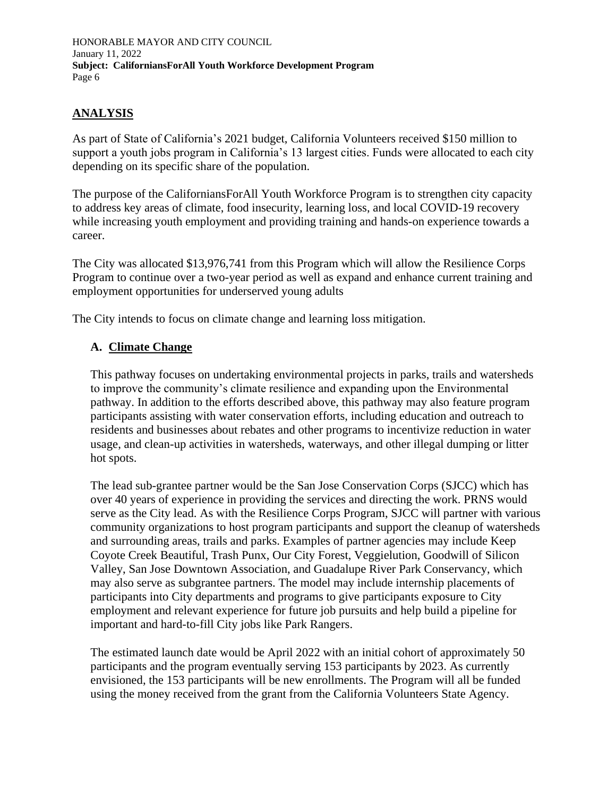# **ANALYSIS**

As part of State of California's 2021 budget, California Volunteers received \$150 million to support a youth jobs program in California's 13 largest cities. Funds were allocated to each city depending on its specific share of the population.

The purpose of the CaliforniansForAll Youth Workforce Program is to strengthen city capacity to address key areas of climate, food insecurity, learning loss, and local COVID-19 recovery while increasing youth employment and providing training and hands-on experience towards a career.

The City was allocated \$13,976,741 from this Program which will allow the Resilience Corps Program to continue over a two-year period as well as expand and enhance current training and employment opportunities for underserved young adults

The City intends to focus on climate change and learning loss mitigation.

## **A. Climate Change**

This pathway focuses on undertaking environmental projects in parks, trails and watersheds to improve the community's climate resilience and expanding upon the Environmental pathway. In addition to the efforts described above, this pathway may also feature program participants assisting with water conservation efforts, including education and outreach to residents and businesses about rebates and other programs to incentivize reduction in water usage, and clean-up activities in watersheds, waterways, and other illegal dumping or litter hot spots.

The lead sub-grantee partner would be the San Jose Conservation Corps (SJCC) which has over 40 years of experience in providing the services and directing the work. PRNS would serve as the City lead. As with the Resilience Corps Program, SJCC will partner with various community organizations to host program participants and support the cleanup of watersheds and surrounding areas, trails and parks. Examples of partner agencies may include Keep Coyote Creek Beautiful, Trash Punx, Our City Forest, Veggielution, Goodwill of Silicon Valley, San Jose Downtown Association, and Guadalupe River Park Conservancy, which may also serve as subgrantee partners. The model may include internship placements of participants into City departments and programs to give participants exposure to City employment and relevant experience for future job pursuits and help build a pipeline for important and hard-to-fill City jobs like Park Rangers.

The estimated launch date would be April 2022 with an initial cohort of approximately 50 participants and the program eventually serving 153 participants by 2023. As currently envisioned, the 153 participants will be new enrollments. The Program will all be funded using the money received from the grant from the California Volunteers State Agency.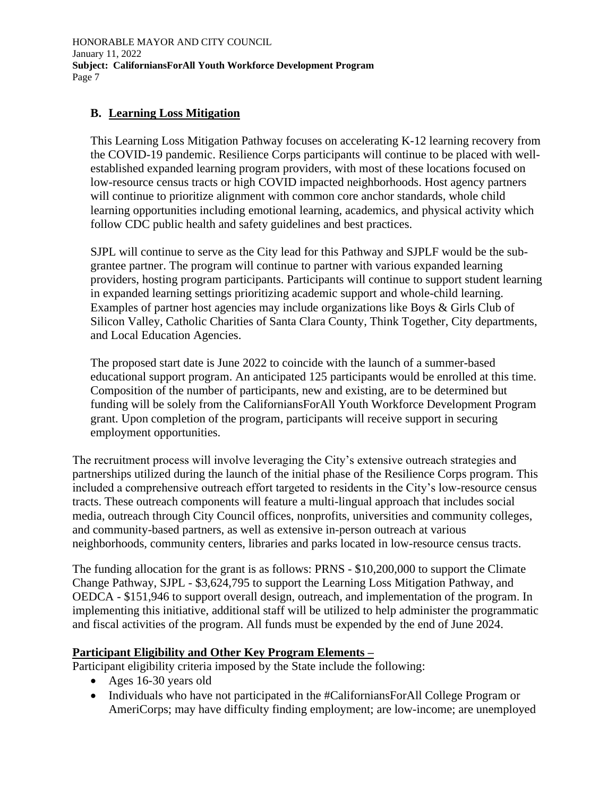## **B. Learning Loss Mitigation**

This Learning Loss Mitigation Pathway focuses on accelerating K-12 learning recovery from the COVID-19 pandemic. Resilience Corps participants will continue to be placed with wellestablished expanded learning program providers, with most of these locations focused on low-resource census tracts or high COVID impacted neighborhoods. Host agency partners will continue to prioritize alignment with common core anchor standards, whole child learning opportunities including emotional learning, academics, and physical activity which follow CDC public health and safety guidelines and best practices.

SJPL will continue to serve as the City lead for this Pathway and SJPLF would be the subgrantee partner. The program will continue to partner with various expanded learning providers, hosting program participants. Participants will continue to support student learning in expanded learning settings prioritizing academic support and whole-child learning. Examples of partner host agencies may include organizations like Boys & Girls Club of Silicon Valley, Catholic Charities of Santa Clara County, Think Together, City departments, and Local Education Agencies.

The proposed start date is June 2022 to coincide with the launch of a summer-based educational support program. An anticipated 125 participants would be enrolled at this time. Composition of the number of participants, new and existing, are to be determined but funding will be solely from the CaliforniansForAll Youth Workforce Development Program grant. Upon completion of the program, participants will receive support in securing employment opportunities.

The recruitment process will involve leveraging the City's extensive outreach strategies and partnerships utilized during the launch of the initial phase of the Resilience Corps program. This included a comprehensive outreach effort targeted to residents in the City's low-resource census tracts. These outreach components will feature a multi-lingual approach that includes social media, outreach through City Council offices, nonprofits, universities and community colleges, and community-based partners, as well as extensive in-person outreach at various neighborhoods, community centers, libraries and parks located in low-resource census tracts.

The funding allocation for the grant is as follows: PRNS - \$10,200,000 to support the Climate Change Pathway, SJPL - \$3,624,795 to support the Learning Loss Mitigation Pathway, and OEDCA - \$151,946 to support overall design, outreach, and implementation of the program. In implementing this initiative, additional staff will be utilized to help administer the programmatic and fiscal activities of the program. All funds must be expended by the end of June 2024.

## **Participant Eligibility and Other Key Program Elements –**

Participant eligibility criteria imposed by the State include the following:

- Ages 16-30 years old
- Individuals who have not participated in the #CaliforniansForAll College Program or AmeriCorps; may have difficulty finding employment; are low-income; are unemployed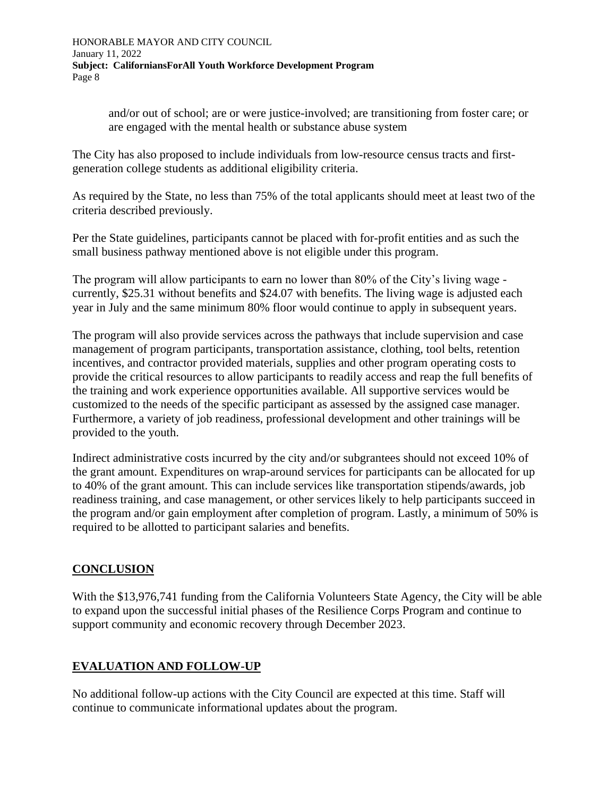> and/or out of school; are or were justice-involved; are transitioning from foster care; or are engaged with the mental health or substance abuse system

The City has also proposed to include individuals from low-resource census tracts and firstgeneration college students as additional eligibility criteria.

As required by the State, no less than 75% of the total applicants should meet at least two of the criteria described previously.

Per the State guidelines, participants cannot be placed with for-profit entities and as such the small business pathway mentioned above is not eligible under this program.

The program will allow participants to earn no lower than 80% of the City's living wage currently, \$25.31 without benefits and \$24.07 with benefits. The living wage is adjusted each year in July and the same minimum 80% floor would continue to apply in subsequent years.

The program will also provide services across the pathways that include supervision and case management of program participants, transportation assistance, clothing, tool belts, retention incentives, and contractor provided materials, supplies and other program operating costs to provide the critical resources to allow participants to readily access and reap the full benefits of the training and work experience opportunities available. All supportive services would be customized to the needs of the specific participant as assessed by the assigned case manager. Furthermore, a variety of job readiness, professional development and other trainings will be provided to the youth.

Indirect administrative costs incurred by the city and/or subgrantees should not exceed 10% of the grant amount. Expenditures on wrap-around services for participants can be allocated for up to 40% of the grant amount. This can include services like transportation stipends/awards, job readiness training, and case management, or other services likely to help participants succeed in the program and/or gain employment after completion of program. Lastly, a minimum of 50% is required to be allotted to participant salaries and benefits.

## **CONCLUSION**

With the \$13,976,741 funding from the California Volunteers State Agency, the City will be able to expand upon the successful initial phases of the Resilience Corps Program and continue to support community and economic recovery through December 2023.

## **EVALUATION AND FOLLOW-UP**

No additional follow-up actions with the City Council are expected at this time. Staff will continue to communicate informational updates about the program.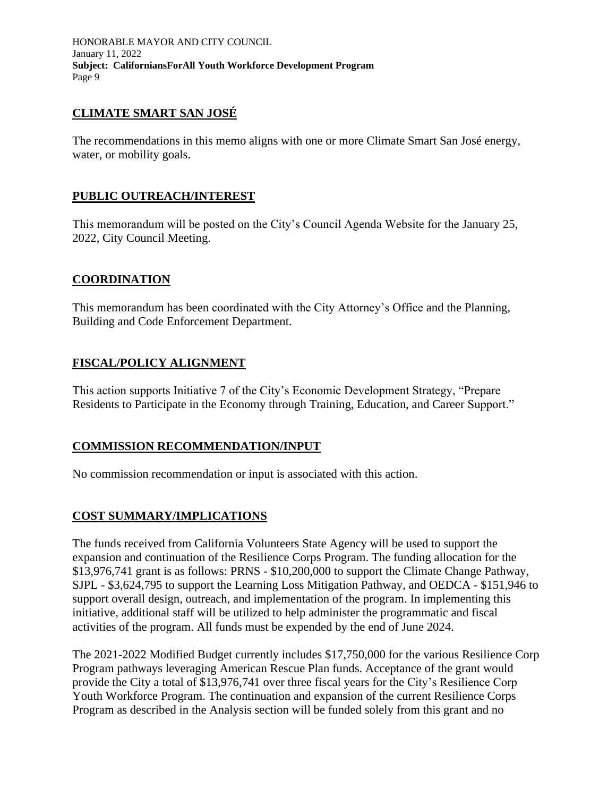## **CLIMATE SMART SAN JOSÉ**

The recommendations in this memo aligns with one or more Climate Smart San José energy, water, or mobility goals.

#### **PUBLIC OUTREACH/INTEREST**

This memorandum will be posted on the City's Council Agenda Website for the January 25, 2022, City Council Meeting.

#### **COORDINATION**

This memorandum has been coordinated with the City Attorney's Office and the Planning, Building and Code Enforcement Department.

# **FISCAL/POLICY ALIGNMENT**

This action supports Initiative 7 of the City's Economic Development Strategy, "Prepare Residents to Participate in the Economy through Training, Education, and Career Support."

## **COMMISSION RECOMMENDATION/INPUT**

No commission recommendation or input is associated with this action.

## **COST SUMMARY/IMPLICATIONS**

The funds received from California Volunteers State Agency will be used to support the expansion and continuation of the Resilience Corps Program. The funding allocation for the \$13,976,741 grant is as follows: PRNS - \$10,200,000 to support the Climate Change Pathway, SJPL - \$3,624,795 to support the Learning Loss Mitigation Pathway, and OEDCA - \$151,946 to support overall design, outreach, and implementation of the program. In implementing this initiative, additional staff will be utilized to help administer the programmatic and fiscal activities of the program. All funds must be expended by the end of June 2024.

The 2021-2022 Modified Budget currently includes \$17,750,000 for the various Resilience Corp Program pathways leveraging American Rescue Plan funds. Acceptance of the grant would provide the City a total of \$13,976,741 over three fiscal years for the City's Resilience Corp Youth Workforce Program. The continuation and expansion of the current Resilience Corps Program as described in the Analysis section will be funded solely from this grant and no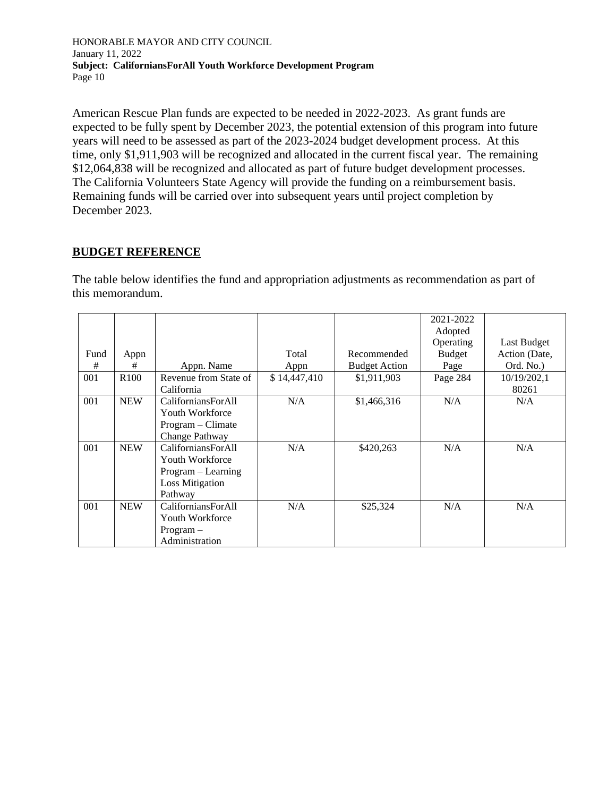American Rescue Plan funds are expected to be needed in 2022-2023. As grant funds are expected to be fully spent by December 2023, the potential extension of this program into future years will need to be assessed as part of the 2023-2024 budget development process. At this time, only \$1,911,903 will be recognized and allocated in the current fiscal year. The remaining \$12,064,838 will be recognized and allocated as part of future budget development processes. The California Volunteers State Agency will provide the funding on a reimbursement basis. Remaining funds will be carried over into subsequent years until project completion by December 2023.

# **BUDGET REFERENCE**

The table below identifies the fund and appropriation adjustments as recommendation as part of this memorandum.

|      |                  |                                                                                                           |              |                      | 2021-2022<br>Adopted |                      |
|------|------------------|-----------------------------------------------------------------------------------------------------------|--------------|----------------------|----------------------|----------------------|
|      |                  |                                                                                                           |              |                      | Operating            | Last Budget          |
| Fund | Appn             |                                                                                                           | Total        | Recommended          | <b>Budget</b>        | Action (Date,        |
| #    | #                | Appn. Name                                                                                                | Appn         | <b>Budget Action</b> | Page                 | Ord. No.)            |
| 001  | R <sub>100</sub> | Revenue from State of<br>California                                                                       | \$14,447,410 | \$1,911,903          | Page 284             | 10/19/202,1<br>80261 |
| 001  | <b>NEW</b>       | CaliforniansForAll<br>Youth Workforce<br>Program - Climate<br>Change Pathway                              | N/A          | \$1,466,316          | N/A                  | N/A                  |
| 001  | <b>NEW</b>       | <b>CaliforniansForAll</b><br>Youth Workforce<br>$Program - Learning$<br><b>Loss Mitigation</b><br>Pathway | N/A          | \$420,263            | N/A                  | N/A                  |
| 001  | <b>NEW</b>       | CaliforniansForAll<br>Youth Workforce<br>$Program -$<br>Administration                                    | N/A          | \$25,324             | N/A                  | N/A                  |